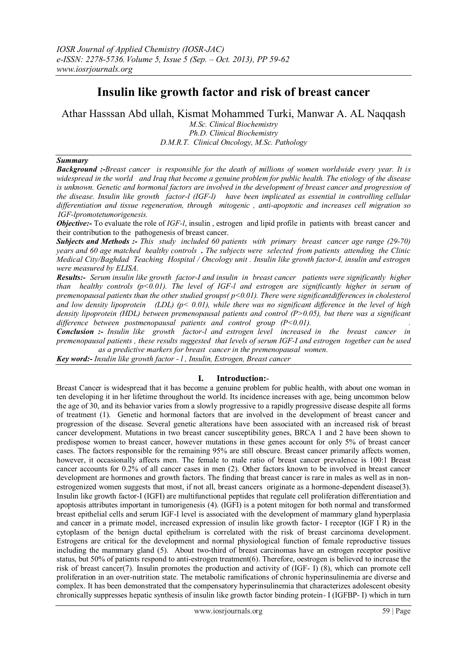# **Insulin like growth factor and risk of breast cancer**

Athar Hasssan Abd ullah, Kismat Mohammed Turki, Manwar A. AL Naqqash

*M.Sc. Clinical Biochemistry Ph.D. Clinical Biochemistry D.M.R.T. Clinical Oncology, M.Sc. Pathology*

## *Summary*

*Background :-Breast cancer is responsible for the death of millions of women worldwide every year. It is widespread in the world and Iraq that become a genuine problem for public health. The etiology of the disease is unknown. Genetic and hormonal factors are involved in the development of breast cancer and progression of the disease. Insulin like growth factor-ӏ (IGF-ӏ) have been implicated as essential in controlling cellular differentiation and tissue regeneration, through mitogenic , anti-apoptotic and increases cell migration so IGF-ӏpromotetumorigenesis.* 

*Objective:*- To evaluate the role of *IGF-1*, insulin, estrogen and lipid profile in patients with breast cancer and their contribution to the pathogenesis of breast cancer.

*Subjects and Methods :- This study included 60 patients with primary breast cancer age range (29-70) years and 60 age matched healthy controls . The subjects were selected from patients attending the Clinic Medical City/Baghdad Teaching Hospital / Oncology unit . Insulin like growth factor-I, insulin and estrogen were measured by ELISA.*

*Results:- Serum insulin like growth factor-I and insulin in breast cancer patients were significantly higher than healthy controls (p<0.01). The level of IGF-ӏ and estrogen are significantly higher in serum of premenopausal patients than the other studied groups( p<0.01). There were significantdifferences in cholesterol and low density lipoprotein (LDL) (p< 0.01), while there was no significant difference in the level of high density lipoprotein (HDL) between premenopausal patients and control (P>0.05), but there was a significant difference between postmenopausal patients and control group (P<0.01). .* 

*Conclusion :- Insulin like growth factor-ӏ and estrogen level increased in the breast cancer in premenopausal patients , these results suggested that levels of serum IGF-I and estrogen together can be used as a predictive markers for breast cancer in the premenopausal women.* 

*Key word:- Insulin like growth factor - ӏ , Insulin, Estrogen, Breast cancer*

## **I. Introduction:**-

Breast Cancer is widespread that it has become a genuine problem for public health, with about one woman in ten developing it in her lifetime throughout the world. Its incidence increases with age, being uncommon below the age of 30, and its behavior varies from a slowly progressive to a rapidly progressive disease despite all forms of treatment (1). Genetic and hormonal factors that are involved in the development of breast cancer and progression of the disease. Several genetic alterations have been associated with an increased risk of breast cancer development. Mutations in two breast cancer susceptibility genes, BRCA 1 and 2 have been shown to predispose women to breast cancer, however mutations in these genes account for only 5% of breast cancer cases. The factors responsible for the remaining 95% are still obscure. Breast cancer primarily affects women, however, it occasionally affects men. The female to male ratio of [breast cancer](http://www.scialert.net/asci/result.php?searchin=Keywords&cat=&ascicat=ALL&Submit=Search&keyword=breast+cancer) prevalence is 100:1 Breast cancer accounts for 0.2% of all cancer cases in men (2). Other factors known to be involved in breast cancer development are hormones and growth factors. The finding that breast cancer is rare in males as well as in nonestrogenized women suggests that most, if not all, breast cancers originate as a hormone-dependent disease(3). Insulin like growth factor-I (IGFI) are multifunctional peptides that regulate cell proliferation differentiation and apoptosis attributes important in tumorigenesis (4). (IGFI) is a potent mitogen for both normal and transformed breast epithelial cells and serum IGF-I level is associated with the development of mammary gland hyperplasia and cancer in a primate model, increased expression of insulin like growth factor- I receptor (IGF I R) in the cytoplasm of the benign ductal epithelium is correlated with the risk of breast carcinoma development. Estrogens are critical for the development and normal physiological function of female reproductive tissues including the mammary gland (5). About two-third of breast carcinomas have an estrogen receptor positive status, but 50% of patients respond to anti-estrogen treatment(6). Therefore, oestrogen is believed to increase the risk of breast cancer(7). Insulin promotes the production and activity of (IGF- I) (8), which can promote cell proliferation in an over-nutrition state. The metabolic ramifications of chronic hyperinsulinemia are diverse and complex. It has been demonstrated that the compensatory hyperinsulinemia that characterizes adolescent obesity chronically suppresses hepatic synthesis of insulin like growth factor binding protein- I (IGFBP- I) which in turn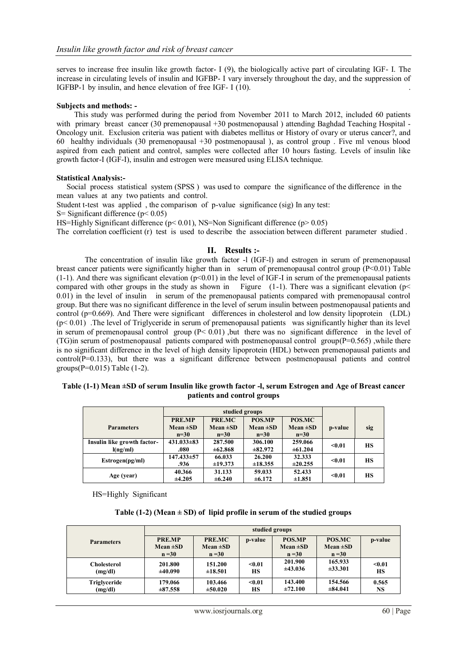serves to increase free insulin like growth factor- I (9), the biologically active part of circulating IGF- I. The increase in circulating levels of insulin and IGFBP- I vary inversely throughout the day, and the suppression of IGFBP-1 by insulin, and hence elevation of free IGF- I (10).

### **Subjects and methods: -**

 This study was performed during the period from November 2011 to March 2012, included 60 patients with primary breast cancer (30 premenopausal +30 postmenopausal) attending Baghdad Teaching Hospital -Oncology unit. Exclusion criteria was patient with diabetes mellitus or History of ovary or uterus cancer?, and 60 healthy individuals (30 premenopausal +30 postmenopausal ), as control group . Five ml venous blood aspired from each patient and control, samples were collected after 10 hours fasting. Levels of insulin like growth factor-I (IGF-I), insulin and estrogen were measured using ELISA technique.

### **Statistical Analysis:-**

 Social process statistical system (SPSS ) was used to compare the significance of the difference in the mean values at any two patients and control.

Student t-test was applied , the comparison of p-value significance (sig) In any test:

S = Significant difference ( $p$  < 0.05)

HS=Highly Significant difference (p< 0.01), NS=Non Significant difference (p> 0.05)

The correlation coefficient (r) test is used to describe the association between different parameter studied .

## **II. Results :-**

The concentration of insulin like growth factor -1 (IGF-1) and estrogen in serum of premenopausal breast cancer patients were significantly higher than in serum of premenopausal control group (P˂0.01) Table  $(1-1)$ . And there was significant elevation  $(p<0.01)$  in the level of IGF-I in serum of the premenopausal patients compared with other groups in the study as shown in Figure  $(1-1)$ . There was a significant elevation (p< 0.01) in the level of insulin in serum of the premenopausal patients compared with premenopausal control group. But there was no significant difference in the level of serum insulin between postmenopausal patients and control (p=0.669). And There were significant differences in cholesterol and low density lipoprotein (LDL)  $(p< 0.01)$ . The level of Triglyceride in serum of premenopausal patients was significantly higher than its level in serum of premenopausal control group  $(P < 0.01)$ , but there was no significant difference in the level of (TG)in serum of postmenopausal patients compared with postmenopausal control group( $P=0.565$ ) ,while there is no significant difference in the level of high density lipoprotein (HDL) between premenopausal patients and  $control(P=0.133)$ , but there was a significant difference between postmenopausal patients and control groups(P=0.015) Table (1-2).

### **Table (1-1) Mean ±SD of serum Insulin like growth factor -ӏ, serum Estrogen and Age of Breast cancer patients and control groups**

|                             | PRE.MP         | PRE.MC                                  | POS.MP        | POS.MC        |         |     |
|-----------------------------|----------------|-----------------------------------------|---------------|---------------|---------|-----|
| <b>Parameters</b>           | $Mean \pm SD$  | $Mean \pm SD$                           | Mean $\pm SD$ | Mean $\pm SD$ | p-value | sig |
|                             | $n=30$         | $n=30$                                  | $n=30$        | $n=30$        |         |     |
| Insulin like growth factor- | $431.033\pm83$ | 287.500                                 | 306.100       | 259.066       | $0.01$  | НS  |
| l(ng/ml)                    | .080           | $\pm 62.868$                            | $\pm 82.972$  | $\pm 61.204$  |         |     |
| Estrogen(pg/ml)             | 147.433±57     | 66.033                                  | 26.200        | 32.333        | < 0.01  | HS  |
|                             | .936           | ±18.355<br>$\pm 19.373$<br>$\pm 20.255$ |               |               |         |     |
| Age (year)                  | 40.366         | 31.133                                  | 59.033        | 52.433        | $0.01$  | HS  |
|                             | ±4.205         | $\pm 6.240$                             | $\pm 6.172$   | ±1.851        |         |     |

HS=Highly Significant

**Table (1-2) (Mean ± SD) of lipid profile in serum of the studied groups**

|                     | studied groups                      |                                     |         |                                     |                                     |         |  |  |
|---------------------|-------------------------------------|-------------------------------------|---------|-------------------------------------|-------------------------------------|---------|--|--|
| <b>Parameters</b>   | PRE.MP<br>$Mean \pm SD$<br>$n = 30$ | PRE.MC<br>$Mean \pm SD$<br>$n = 30$ | p-value | POS.MP<br>$Mean \pm SD$<br>$n = 30$ | POS.MC<br>Mean $\pm SD$<br>$n = 30$ | p-value |  |  |
| <b>Cholesterol</b>  | 201.800                             | 151.200                             | $0.01$  | 201.900                             | 165.933                             | < 0.01  |  |  |
| (mg/dl)             | ±40.090                             | ±18.501                             | HS      | ±43.036                             | $\pm 33.301$                        | HS      |  |  |
| <b>Triglyceride</b> | 179.066                             | 103.466                             | $0.01$  | 143.400                             | 154.566                             | 0.565   |  |  |
| (mg/dl)             | $\pm 87.558$                        | $\pm 50.020$                        | HS      | ±72.100                             | $\pm 84.041$                        | NS      |  |  |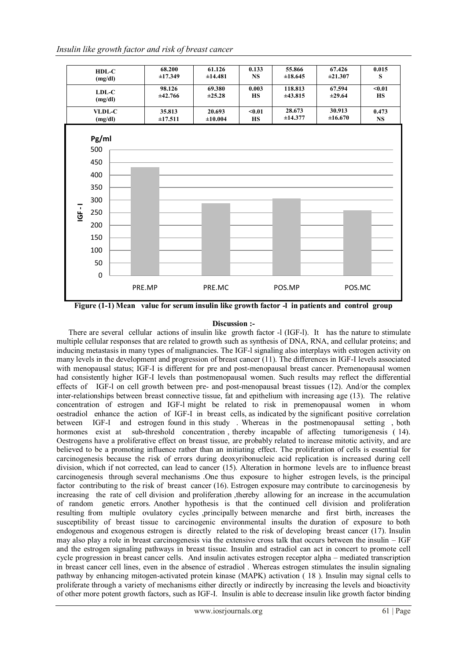

Figure (1-1) Mean value for serum insulin like growth factor -1 in patients and control group

## **Discussion :-**

There are several cellular actions of insulin like growth factor - (IGF-I). It has the nature to stimulate multiple cellular responses that are related to growth such as synthesis of DNA, RNA, and cellular proteins; and inducing metastasis in many types of malignancies. The IGF-1 signaling also interplays with estrogen activity on many levels in the development and progression of breast cancer (11). The differences in IGF-I levels associated with menopausal status; IGF-I is different for pre and post-menopausal breast cancer. Premenopausal women had consistently higher IGF-I levels than postmenopausal women. Such results may reflect the differential effects of IGF-1 on cell growth between pre- and post-menopausal breast tissues (12). And/or the complex inter-relationships between breast connective tissue, fat and epithelium with increasing age (13). The relative concentration of estrogen and IGF-1 might be related to risk in premenopausal women in whom oestradiol enhance the action of IGF-I in breast cells, as indicated by the significant positive correlation between IGF-I and estrogen found in this study . Whereas in the postmenopausal setting , both hormones exist at sub-threshold concentration, thereby incapable of affecting tumorigenesis (14). Oestrogens have a proliferative effect on breast tissue, are probably related to increase mitotic activity, and are believed to be a promoting influence rather than an initiating effect. The proliferation of cells is essential for carcinogenesis because the risk of errors during deoxyribonucleic acid replication is increased during cell division, which if not corrected, can lead to cancer (15). Alteration in hormone levels are to influence breast carcinogenesis through several mechanisms .One thus exposure to higher estrogen levels, is the principal factor contributing to the risk of breast cancer (16). Estrogen exposure may contribute to carcinogenesis by increasing the rate of cell division and proliferation ,thereby allowing for an increase in the accumulation of random genetic errors. Another hypothesis is that the continued cell division and proliferation resulting from multiple ovulatory cycles ,principally between menarche and first birth, increases the susceptibility of breast tissue to carcinogenic environmental insults the duration of exposure to both endogenous and exogenous estrogen is directly related to the risk of developing breast cancer (17). Insulin may also play a role in breast carcinogenesis via the extensive cross talk that occurs between the insulin – IGF and the estrogen signaling pathways in breast tissue. Insulin and estradiol can act in concert to promote cell cycle progression in breast cancer cells. And insulin activates estrogen receptor alpha – mediated transcription in breast cancer cell lines, even in the absence of estradiol . Whereas estrogen stimulates the insulin signaling pathway by enhancing mitogen-activated protein kinase (MAPK) activation ( 18 ). Insulin may signal cells to proliferate through a variety of mechanisms either directly or indirectly by increasing the levels and bioactivity of other more potent growth factors, such as IGF-I. Insulin is able to decrease insulin like growth factor binding